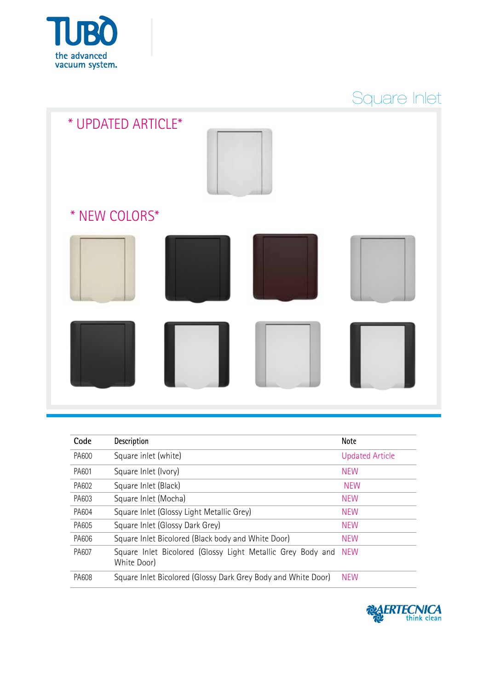

## Square Inlet

| * UPDATED ARTICLE* |  |
|--------------------|--|
| * NEW COLORS*      |  |
|                    |  |
|                    |  |

| Code         | <b>Description</b>                                                         | <b>Note</b>            |
|--------------|----------------------------------------------------------------------------|------------------------|
| <b>PA600</b> | Square inlet (white)                                                       | <b>Updated Article</b> |
| PA601        | Square Inlet (Ivory)                                                       | <b>NFW</b>             |
| PA602        | Square Inlet (Black)                                                       | <b>NEW</b>             |
| PA603        | Square Inlet (Mocha)                                                       | <b>NEW</b>             |
| PA604        | Square Inlet (Glossy Light Metallic Grey)                                  | <b>NEW</b>             |
| PA605        | Square Inlet (Glossy Dark Grey)                                            | <b>NEW</b>             |
| PA606        | Square Inlet Bicolored (Black body and White Door)                         | <b>NEW</b>             |
| PA607        | Square Inlet Bicolored (Glossy Light Metallic Grey Body and<br>White Door) | <b>NFW</b>             |
| PA608        | Square Inlet Bicolored (Glossy Dark Grey Body and White Door)              | <b>NEW</b>             |